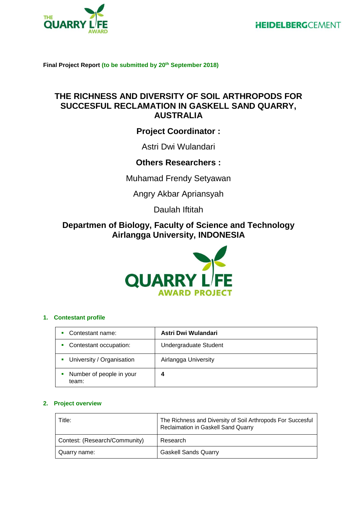



**Final Project Report (to be submitted by 20 th September 2018)**

# **THE RICHNESS AND DIVERSITY OF SOIL ARTHROPODS FOR SUCCESFUL RECLAMATION IN GASKELL SAND QUARRY, AUSTRALIA**

# **Project Coordinator :**

Astri Dwi Wulandari

## **Others Researchers :**

Muhamad Frendy Setyawan

Angry Akbar Apriansyah

Daulah Iftitah

# **Departmen of Biology, Faculty of Science and Technology Airlangga University, INDONESIA**



## **1. Contestant profile**

| Contestant name:                  | Astri Dwi Wulandari   |
|-----------------------------------|-----------------------|
| Contestant occupation:            | Undergraduate Student |
| • University / Organisation       | Airlangga University  |
| Number of people in your<br>team: | 4                     |

## **2. Project overview**

| Title:                        | The Richness and Diversity of Soil Arthropods For Succesful<br>Reclaimation in Gaskell Sand Quarry |
|-------------------------------|----------------------------------------------------------------------------------------------------|
| Contest: (Research/Community) | Research                                                                                           |
| Quarry name:                  | <b>Gaskell Sands Quarry</b>                                                                        |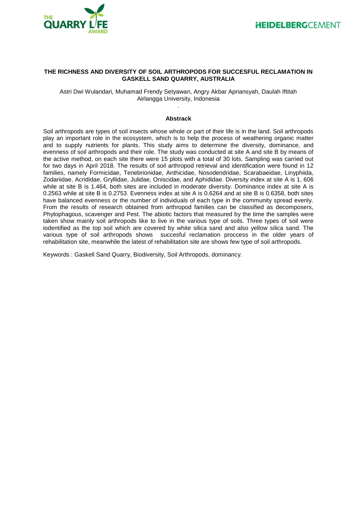

### **THE RICHNESS AND DIVERSITY OF SOIL ARTHROPODS FOR SUCCESFUL RECLAMATION IN GASKELL SAND QUARRY, AUSTRALIA**

Astri Dwi Wulandari, Muhamad Frendy Setyawan, Angry Akbar Apriansyah, Daulah Iftitah Airlangga University, Indonesia .

#### **Abstrack**

Soil arthropods are types of soil insects whose whole or part of their life is in the land. Soil arthropods play an important role in the ecosystem, which is to help the process of weathering organic matter and to supply nutrients for plants. This study aims to determine the diversity, dominance, and evenness of soil arthropods and their role. The study was conducted at site A and site B by means of the active method, on each site there were 15 plots with a total of 30 lots. Sampling was carried out for two days in April 2018. The results of soil arthropod retrieval and identification were found in 12 families, namely Formicidae, Tenebrionidae, Anthicidae, Nosodendridae, Scarabaeidae, Linyphiida, Zodariidae, Acrididae, Gryllidae, Julidae, Oniscidae, and Aphididae. Diversity index at site A is 1, 606 while at site B is 1.464, both sites are included in moderate diversity. Dominance index at site A is 0.2563 while at site B is 0.2753. Evenness index at site A is 0.6264 and at site B is 0.6358, both sites have balanced evenness or the number of individuals of each type in the community spread evenly. From the results of research obtained from arthropod families can be classified as decomposers, Phytophagous, scavenger and Pest. The abiotic factors that measured by the time the samples were taken show mainly soil arthropods like to live in the various type of soils. Three types of soil were iodentified as the top soil which are covered by white silica sand and also yellow silica sand. The various type of soil arthropods shows succesful reclamation proccess in the older years of rehabilitation site, meanwhile the latest of rehabilitation site are shows few type of soil arthropods.

Keywords : Gaskell Sand Quarry, Biodiversity, Soil Arthropods, dominancy.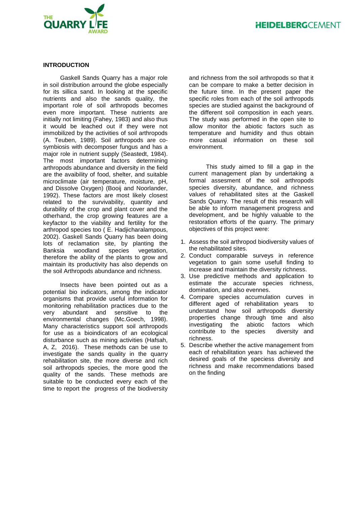



### **INTRODUCTION**

Gaskell Sands Quarry has a major role in soil distribution arround the globe especially for its sillica sand. In looking at the specific nutrients and also the sands quality, the important role of soil arthropods becomes even more important. These nutrients are initially not limiting (Fahey, 1983) and also thus it would be leached out if they were not immobilized by the activities of soil arthropods (A. Teuben, 1989). Soil arthropods are cosymbiosis with decomposer fungus and has a major role in nutrient supply (Seastedt, 1984). The most important factors determining arthropods abundance and diversity in the field are the avaibility of food, shelter, and suitable microclimate (air temperature, moisture, pH, and Dissolve Oxygen) (Booij and Noorlander, 1992). These factors are most likely closest related to the survivability, quantity and durability of the crop and plant cover and the otherhand, the crop growing features are a keyfactor to the viability and fertility for the arthropod species too ( E. Hadjicharalampous, 2002). Gaskell Sands Quarry has been doing lots of reclamation site, by planting the Banksia woodland species vegetation, therefore the ability of the plants to grow and maintain its productivity has also depends on the soil Arthropods abundance and richness.

Insects have been pointed out as a potential bio indicators, among the indicator organisms that provide useful information for monitoring rehabilitation practices due to the very abundant and sensitive to the environmental changes (Mc.Goech, 1998). Many characteristics support soil arthropods for use as a bioindicators of an ecological disturbance such as mining activities (Hafsah, A, Z, 2016). These methods can be use to investigate the sands quality in the quarry rehabilitation site, the more diverse and rich soil arthropods species, the more good the quality of the sands. These methods are suitable to be conducted every each of the time to report the progress of the biodiversity and richness from the soil arthropods so that it can be compare to make a better decision in the future time. In the present paper the specific roles from each of the soil arthropods species are studied against the background of the different soil composition in each years. The study was performed in the open site to allow monitor the abiotic factors such as temperature and humidity and thus obtain more casual information on these soil environment.

This study aimed to fill a gap in the current management plan by undertaking a formal assesment of the soil arthropods species diversity, abundance, and richness values of rehabilitated sites at the Gaskell Sands Quarry. The result of this research will be able to inform management progress and development, and be highly valuable to the restoration efforts of the quarry. The primary objectives of this project were:

- 1. Assess the soil arthropod biodiversity values of the rehabilitated sites.
- 2. Conduct comparable surveys in reference vegetation to gain some usefull finding to increase and maintain the diversity richness.
- 3. Use predictive methods and application to estimate the accurate species richness, domination, and also evennes.
- 4. Compare species accumulation curves in different aged of rehabilitation years to understand how soil arthropods diversity properties change through time and also investigating the abiotic factors which contribute to the species diversity and richness.
- 5. Describe whether the active management from each of rehabilitation years has achieved the desired goals of the speciess diversity and richness and make recommendations based on the finding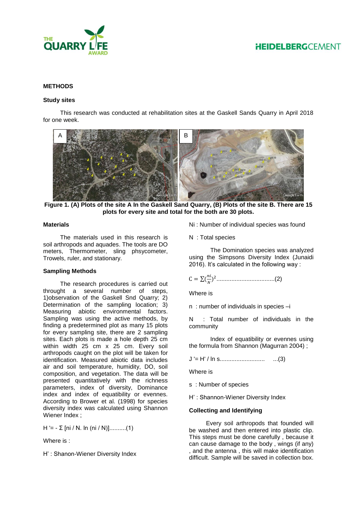

### **METHODS**

### **Study sites**

This research was conducted at rehabilitation sites at the Gaskell Sands Quarry in April 2018 for one week.



**Figure 1. (A) Plots of the site A In the Gaskell Sand Quarry, (B) Plots of the site B. There are 15 plots for every site and total for the both are 30 plots.**

#### **Materials**

The materials used in this research is soil arthropods and aquades. The tools are DO meters, Thermometer, sling phsycometer, Trowels, ruler, and stationary.

### **Sampling Methods**

The research procedures is carried out throught a several number of steps, 1)observation of the Gaskell Snd Quarry; 2) Determination of the sampling location; 3) Measuring abiotic environmental factors. Sampling was using the active methods, by finding a predetermined plot as many 15 plots for every sampling site, there are 2 sampling sites. Each plots is made a hole depth 25 cm within width 25 cm x 25 cm. Every soil arthropods caught on the plot will be taken for identification. Measured abiotic data includes air and soil temperature, humidity, DO, soil composition, and vegetation. The data will be presented quantitatively with the richness parameters, index of diversity, Dominance index and index of equatibility or evennes. According to Brower et al. (1998) for species diversity index was calculated using Shannon Wiener Index ;

 $H' = -\sum$  [ni / N. ln (ni / N)]...........(1)

Where is :

H' : Shanon-Wiener Diversity Index

Ni : Number of individual species was found

N : Total species

The Domination species was analyzed using the Simpsons Diversity Index (Junaidi 2016). It's calculated in the following way :

 $C = \sum_{n=1}^{\infty}$ ) 2 ...................................(2)

Where is

n : number of individuals in species –i

N : Total number of individuals in the community

Index of equatibility or evennes using the formula from Shannon (Magurran 2004) ;

J '= H' / ln s........................... ...(3)

Where is

s : Number of species

H' : Shannon-Wiener Diversity Index

### **Collecting and Identifying**

Every soil arthropods that founded will be washed and then entered into plastic clip. This steps must be done carefully , because it can cause damage to the body , wings (if any) , and the antenna , this will make identification difficult. Sample will be saved in collection box.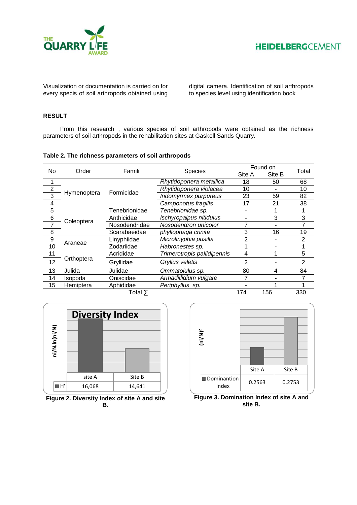



Visualization or documentation is carried on for every specis of soil arthropods obtained using digital camera. Identification of soil arthropods to species level using identification book

## **RESULT**

From this research , various species of soil arthropods were obtained as the richness parameters of soil arthropods in the rehabilitation sites at Gaskell Sands Quarry.

### **Table 2. The richness parameters of soil arthropods**

| No<br>Order    |             | Famili                                |                              | Found on |        |                |
|----------------|-------------|---------------------------------------|------------------------------|----------|--------|----------------|
|                |             |                                       | <b>Species</b>               | Site A   | Site B | Total          |
|                |             |                                       | Rhytidoponera metallica      | 18       | 50     | 68             |
| $\overline{2}$ |             |                                       | Rhytidoponera violacea       | 10       |        | 10             |
| 3              | Hymenoptera | Formicidae                            | Iridomyrmex purpureus        | 23       | 59     | 82             |
| 4              |             |                                       | Camponotus fragilis          | 17       | 21     | 38             |
| 5              |             | Tenebrionidae                         | Tenebrionidae sp.            |          |        |                |
| $\,6$          |             | Ischyropalpus nitidulus<br>Anthicidae |                              |          | 3      | 3              |
| 7              | Coleoptera  | Nosodendridae                         | Nosodendron unicolor         |          | -      |                |
| 8              |             | Scarabaeidae                          | phyllophaga crinita          | 3        | 16     | 19             |
| 9              |             | Linyphiidae                           | Microlinyphia pusilla        | 2        |        | 2              |
| 10             | Araneae     | Zodariidae                            | Habronestes sp.              |          |        |                |
| 11             |             | Acrididae                             | Trimerotropis pallidipennis  | 4        |        | 5              |
| 12             | Orthoptera  | Gryllidae                             | Gryllus veletis              | 2        |        | $\overline{2}$ |
| 13             | Julida      | Julidae                               | Ommatoiulus sp.              | 80       | 4      | 84             |
| 14             | Isopoda     | Oniscidae                             | <b>Armadillidium vulgare</b> | 7        |        |                |
| 15             | Hemiptera   | Aphididae                             | Periphyllus sp.              |          |        |                |
|                |             | Total ⋝                               |                              | 174      | 156    | 330            |



**Figure 2. Diversity Index of site A and site B.** 



**Figure 3. Domination Index of site A and site B.**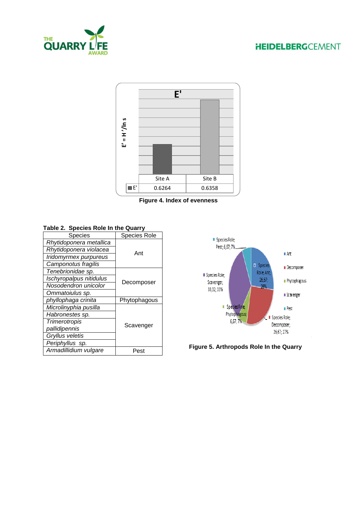# **HEIDELBERGCEMENT**





**Figure 4. Index of evenness**

## **Table 2. Species Role In the Quarry**

| Species                 | <b>Species Role</b> |  |  |
|-------------------------|---------------------|--|--|
| Rhytidoponera metallica |                     |  |  |
| Rhytidoponera violacea  | Ant                 |  |  |
| Iridomyrmex purpureus   |                     |  |  |
| Camponotus fragilis     |                     |  |  |
| Tenebrionidae sp.       |                     |  |  |
| Ischyropalpus nitidulus |                     |  |  |
| Nosodendron unicolor    | Decomposer          |  |  |
| Ommatoiulus sp.         |                     |  |  |
| phyllophaga crinita     | Phytophagous        |  |  |
| Microlinyphia pusilla   |                     |  |  |
| Habronestes sp.         |                     |  |  |
| <b>Trimerotropis</b>    |                     |  |  |
| pallidipennis           | Scavenger           |  |  |
| Gryllus veletis         |                     |  |  |
| Periphyllus sp.         |                     |  |  |
| Armadillidium vulgare   | Pest                |  |  |
|                         |                     |  |  |



**Figure 5. Arthropods Role In the Quarry**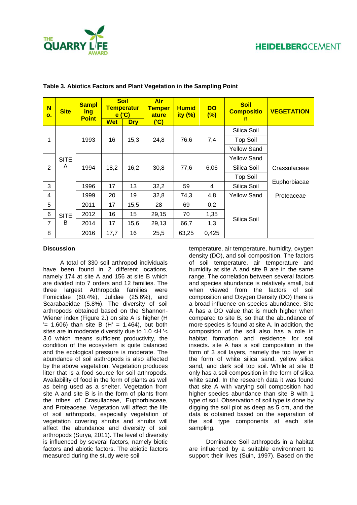

| N<br>$\mathbf{o}$ . | <b>Site</b> | <b>Sampl</b><br>ing<br><b>Point</b> |            | <b>Soil</b><br><b>Temperatur</b><br>e('C) | <b>Air</b><br><b>Temper</b><br>ature | <b>Humid</b><br>ity $(\%)$ | <b>DO</b><br>(%) | <b>Soil</b><br><b>Compositio</b><br>n | <b>VEGETATION</b> |
|---------------------|-------------|-------------------------------------|------------|-------------------------------------------|--------------------------------------|----------------------------|------------------|---------------------------------------|-------------------|
|                     |             |                                     | <b>Wet</b> | <b>Dry</b>                                | (C)                                  |                            |                  |                                       |                   |
|                     |             |                                     |            |                                           |                                      |                            |                  | Silica Soil                           |                   |
| 1                   |             | 1993                                | 16         | 15,3                                      | 24,8                                 | 76,6                       | 7,4              | <b>Top Soil</b>                       |                   |
|                     |             |                                     |            |                                           |                                      |                            |                  | <b>Yellow Sand</b>                    |                   |
|                     | <b>SITE</b> |                                     |            |                                           |                                      |                            |                  | Yellow Sand                           |                   |
| $\overline{2}$      | A           | 1994                                | 18,2       | 16,2                                      | 30,8                                 | 77,6                       | 6,06             | Silica Soil                           | Crassulaceae      |
|                     |             |                                     |            |                                           |                                      |                            |                  | <b>Top Soil</b>                       |                   |
| 3                   |             | 1996                                | 17         | 13                                        | 32,2                                 | 59                         | 4                | Silica Soil                           | Euphorbiacae      |
| 4                   |             | 1999                                | 20         | 19                                        | 32,8                                 | 74,3                       | 4,8              | <b>Yellow Sand</b>                    | Proteaceae        |
| 5                   |             | 2011                                | 17         | 15,5                                      | 28                                   | 69                         | 0,2              |                                       |                   |
| 6                   | <b>SITE</b> | 2012                                | 16         | 15 <sub>15</sub>                          | 29,15                                | 70                         | 1,35             |                                       |                   |
| $\overline{7}$      | B           | 2014                                | 17         | 15,6                                      | 29,13                                | 66,7                       | 1,3              | Silica Soil                           |                   |
| 8                   |             | 2016                                | 17,7       | 16                                        | 25,5                                 | 63,25                      | 0,425            |                                       |                   |

|  |  | Table 3. Abiotics Factors and Plant Vegetation in the Sampling Point |  |  |
|--|--|----------------------------------------------------------------------|--|--|

### **Discussion**

A total of 330 soil arthropod individuals have been found in 2 different locations. namely 174 at site A and 156 at site B which are divided into 7 orders and 12 families. The three largest Arthropoda families were Fomicidae (60.4%), Julidae (25.6%), and Scarabaeidae (5.8%). The diversity of soil arthropods obtained based on the Shannon-Wiener index (Figure 2.) on site A is higher (H  $'$  = 1.606) than site B (H' = 1.464), but both sites are in moderate diversity due to 1.0 <H '< 3.0 which means sufficient productivity, the condition of the ecosystem is quite balanced and the ecological pressure is moderate. The abundance of soil asthropods is also affected by the above vegetation. Vegetation produces litter that is a food source for soil arthropods. Availability of food in the form of plants as well as being used as a shelter. Vegetation from site A and site B is in the form of plants from the tribes of Crasullaceae, Euphorbiaceae, and Proteaceae. Vegetation will affect the life of soil arthropods, especially vegetation of vegetation covering shrubs and shrubs will affect the abundance and diversity of soil arthropods (Surya, 2011). The level of diversity is influenced by several factors, namely biotic factors and abiotic factors. The abiotic factors measured during the study were soil

temperature, air temperature, humidity, oxygen density (DO), and soil composition. The factors of soil temperature, air temperature and humidity at site A and site B are in the same range. The correlation between several factors and species abundance is relatively small, but when viewed from the factors of soil composition and Oxygen Density (DO) there is a broad influence on species abundance. Site A has a DO value that is much higher when compared to site B, so that the abundance of more species is found at site A. In addition, the composition of the soil also has a role in habitat formation and residence for soil insects. site A has a soil composition in the form of 3 soil layers, namely the top layer in the form of white silica sand, yellow silica sand, and dark soil top soil. While at site B only has a soil composition in the form of silica white sand. In the research data it was found that site A with varying soil composition had higher species abundance than site B with 1 type of soil. Observation of soil type is done by digging the soil plot as deep as 5 cm, and the data is obtained based on the separation of the soil type components at each site sampling.

Dominance Soil arthropods in a habitat are influenced by a suitable environment to support their lives (Suin, 1997). Based on the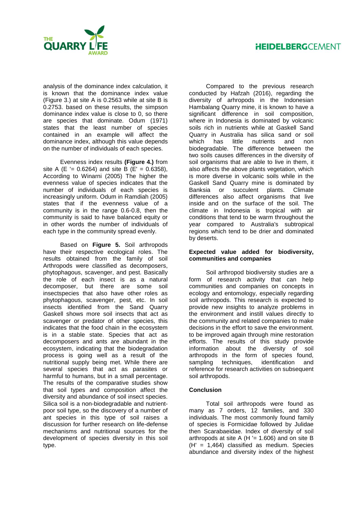## **HEIDELBERG**CEMENT



analysis of the dominance index calculation, it is known that the dominance index value (Figure 3.) at site A is 0.2563 while at site B is 0.2753. based on these results, the simpson dominance index value is close to 0, so there are species that dominate. Odum (1971) states that the least number of species contained in an example will affect the dominance index, although this value depends on the number of individuals of each species.

Evenness index results **(Figure 4.)** from site A (E '= 0.6264) and site B (E' = 0.6358), According to Winarni (2005) The higher the evenness value of species indicates that the number of individuals of each species is increasingly uniform. Odum in Ramdiah (2005) states that if the evenness value of a community is in the range 0.6-0.8, then the community is said to have balanced equity or in other words the number of individuals of each type in the community spread evenly.

Based on **Figure 5.** Soil arthropods have their respective ecological roles. The results obtained from the family of soil Arthropods were classified as decomposers, phytophagous, scavenger, and pest. Basically the role of each insect is as a natural decomposer, but there are some soil insectspecies that also have other roles as phytophagous, scavenger, pest, etc. In soil insects identified from the Sand Quarry Gaskell shows more soil insects that act as scavenger or predator of other species, this indicates that the food chain in the ecosystem is in a stable state. Species that act as decomposers and ants are abundant in the ecosystem, indicating that the biodegradation process is going well as a result of the nutritional supply being met. While there are several species that act as parasites or harmful to humans, but in a small percentage. The results of the comparative studies show that soil types and composition affect the diversity and abundance of soil insect species. Silica soil is a non-biodegradable and nutrientpoor soil type, so the discovery of a number of ant species in this type of soil raises a discussion for further research on life-defense mechanisms and nutritional sources for the development of species diversity in this soil type.

Compared to the previous research conducted by Hafzah (2016), regarding the diversity of arhropods in the Indonesian Hambalang Quarry mine, it is known to have a significant difference in soil composition, where in Indonesia is dominated by volcanic soils rich in nutrients while at Gaskell Sand Quarry in Australia has silica sand or soil which has little nutrients and non biodegradable. The difference between the two soils causes differences in the diversity of soil organisms that are able to live in them, it also affects the above plants vegetation, which is more diverse in volcanic soils while in the Gaskell Sand Quarry mine is dominated by Banksia or succulent plants. Climate differences also affect organisms that live inside and on the surface of the soil. The climate in Indonesia is tropical with air conditions that tend to be warm throughout the year compared to Australia's subtropical regions which tend to be drier and dominated by deserts.

#### **Expected value added for biodiversity, communities and companies**

Soil arthropod biodiversity studies are a form of research activity that can help communities and companies on concepts in ecology and entomology, especially regarding soil arthropods. This research is expected to provide new insights to analyze problems in the environment and instill values directly to the community and related companies to make decisions in the effort to save the environment. to be improved again through mine restoration efforts. The results of this study provide information about the diversity of soil arthropods in the form of species found, sampling techniques, identification and reference for research activities on subsequent soil arthropods.

### **Conclusion**

Total soil arthropods were found as many as 7 orders, 12 families, and 330 individuals. The most commonly found family of species is Formicidae followed by Julidae then Scarabaeidae. Index of diversity of soil arthropods at site A (H  $=$  1.606) and on site B (H' = 1,464) classified as medium. Species abundance and diversity index of the highest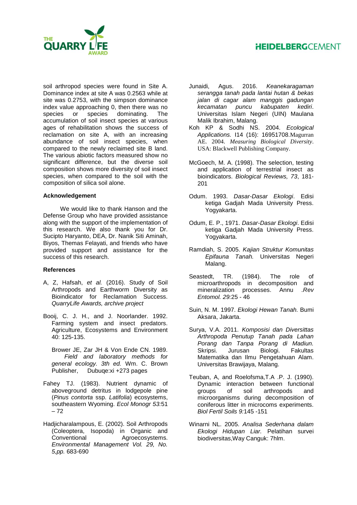# **HEIDELBERG**CEMENT



soil arthropod species were found in Site A. Dominance index at site A was 0.2563 while at site was 0.2753, with the simpson dominance index value approaching 0, then there was no species or species dominating. The accumulation of soil insect species at various ages of rehabilitation shows the success of reclamation on site A, with an increasing abundance of soil insect species, when compared to the newly reclaimed site B land. The various abiotic factors measured show no significant difference, but the diverse soil composition shows more diversity of soil insect species, when compared to the soil with the composition of silica soil alone.

### **Acknowledgement**

We would like to thank Hanson and the Defense Group who have provided assistance along with the support of the implementation of this research. We also thank you for Dr. Sucipto Haryanto, DEA, Dr. Nanik Siti Aminah, Biyos, Themas Felayati, and friends who have provided support and assistance for the success of this research.

### **References**

- A, Z, Hafsah, *et al.* (2016). Study of Soil Arthropods and Earthworm Diversity as Bioindicator for Reclamation Success. *QuarryLife Awards, archive project*
- Booij, C. J. H., and J. Noorlander. 1992. Farming system and insect predators. Agriculture, Ecosystems and Environment 40: 125-135.
	- Brower JE, Zar JH & Von Ende CN. 1989. *Field and laboratory methods for general ecology. 3th ed.* Wm. C. Brown Publisher, Dubuqe:xi +273 pages
- Fahey TJ. (1983). Nutrient dynamic of aboveground detritus in lodgepole pine (*Pinus contorta* ssp. *Latifolia*) ecosystems, southeastern Wyoming. *Ecol Monogr 53:*51 – 72
- Hadjicharalampous, E. (2002). Soil Arthropods (Coleoptera, Isopoda) in Organic and Conventional Agroecosystems. *Environmental Management Vol. 29, No. 5,pp.* 683-690
- Junaidi, Agus. 2016. *Keanekaragaman serangga tanah pada lantai hutan & bekas jalan di cagar alam manggis gadungan kecamatan puncu kabupaten kediri*. Universitas Islam Negeri (UIN) Maulana Malik Ibrahim, Malang.
- Koh KP & Sodhi NS. 2004. *Ecological Applications.* I14 (16): 16951708.Magurran AE. 2004. *Measuring Biological Diversity*. USA: Blackwell Publishing Company.
- McGoech, M. A. (1998). The selection, testing and application of terrestrial insect as bioindicators. *Biological Reviews, 73*, 181- 201
- Odum. 1993. *Dasar-Dasar Ekologi*. Edisi ketiga Gadjah Mada University Press. Yogyakarta.
- Odum, E. P., 1971. *Dasar-Dasar Ekologi*. Edisi ketiga Gadjah Mada University Press. Yogyakarta.
- Ramdiah, S. 2005. *Kajian Struktur Komunitas Epifauna Tanah.* Universitas Negeri Malang.
- Seastedt, TR. (1984). The role of microarthropods in decomposition and mineralization processes. Annu .*Rev Entomol. 29:*25 - 46
- Suin, N. M. 1997. *Ekologi Hewan Tanah.* Bumi Aksara, Jakarta.
- Surya, V.A. 2011. *Komposisi dan Diversittas Arthropoda Penutup Tanah pada Lahan Porang dan Tanpa Porang di Madiun.*  Skripsi. Jurusan Biologi. Fakultas Matematika dan Ilmu Pengetahuan Alam. Universitas Brawijaya, Malang.
- Teuban, A, and Roelofsma,T.A .P. J. (1990). Dynamic interaction between functional groups of soil arthropods and microorganisms during decomposition of coniferous litter in microcoms experiments. *Biol Fertil Soils 9:*145 -151
- Winarni NL. 2005. *Analisa Sederhana dalam Ekologi Hidupan Liar.* Pelatihan survei biodiversitas,Way Canguk: 7hlm.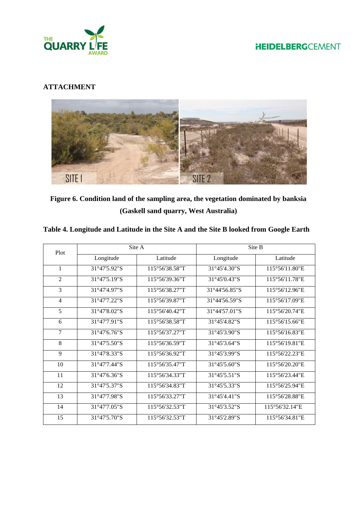



## **ATTACHMENT**



**Figure 6. Condition land of the sampling area, the vegetation dominated by banksia (Gaskell sand quarry, West Australia)**

| Plot           |              | Site A         | Site B        |                |  |
|----------------|--------------|----------------|---------------|----------------|--|
|                | Longitude    | Latitude       | Longitude     | Latitude       |  |
| $\mathbf{1}$   | 31°47'5.92"S | 115°56'38.58"T | 31°45'4.30"S  | 115°56'11.80"E |  |
| $\overline{2}$ | 31°47'5.19"S | 115°56'39.36"T | 31°45'0.43"S  | 115°56'11.78"E |  |
| 3              | 31°47'4.97"S | 115°56'38.27"T | 31°44'56.85"S | 115°56'12.96"E |  |
| $\overline{4}$ | 31°47'7.22"S | 115°56'39.87"T | 31°44'56.59"S | 115°56'17.09"E |  |
| 5              | 31°47'8.02"S | 115°56'40.42"T | 31°44'57.01"S | 115°56'20.74"E |  |
| 6              | 31°47'7.91"S | 115°56'38.58"T | 31°45'4.82"S  | 115°56'15.66"E |  |
| $\overline{7}$ | 31°47'6.76"S | 115°56'37.27"T | 31°45'3.90"S  | 115°56'16.83"E |  |
| 8              | 31°47'5.50"S | 115°56'36.59"T | 31°45'3.64"S  | 115°56'19.81"E |  |
| 9              | 31°47'8.33"S | 115°56'36.92"T | 31°45'3.99"S  | 115°56'22.23"E |  |
| 10             | 31°47'7.44"S | 115°56'35.47"T | 31°45'5.60"S  | 115°56'20.20"E |  |
| 11             | 31°47'6.36"S | 115°56'34.33"T | 31°45'5.51"S  | 115°56'23.44"E |  |
| 12             | 31°47'5.37"S | 115°56'34.83"T | 31°45'5.33"S  | 115°56'25.94"E |  |
| 13             | 31°47'7.98"S | 115°56'33.27"T | 31°45'4.41"S  | 115°56'28.88"E |  |
| 14             | 31°47'7.05"S | 115°56'32.53"T | 31°45'3.52"S  | 115°56'32.14"E |  |
| 15             | 31°47'5.70"S | 115°56'32.53"T | 31°45'2.89"S  | 115°56'34.81"E |  |

## **Table 4. Longitude and Latitude in the Site A and the Site B looked from Google Earth**